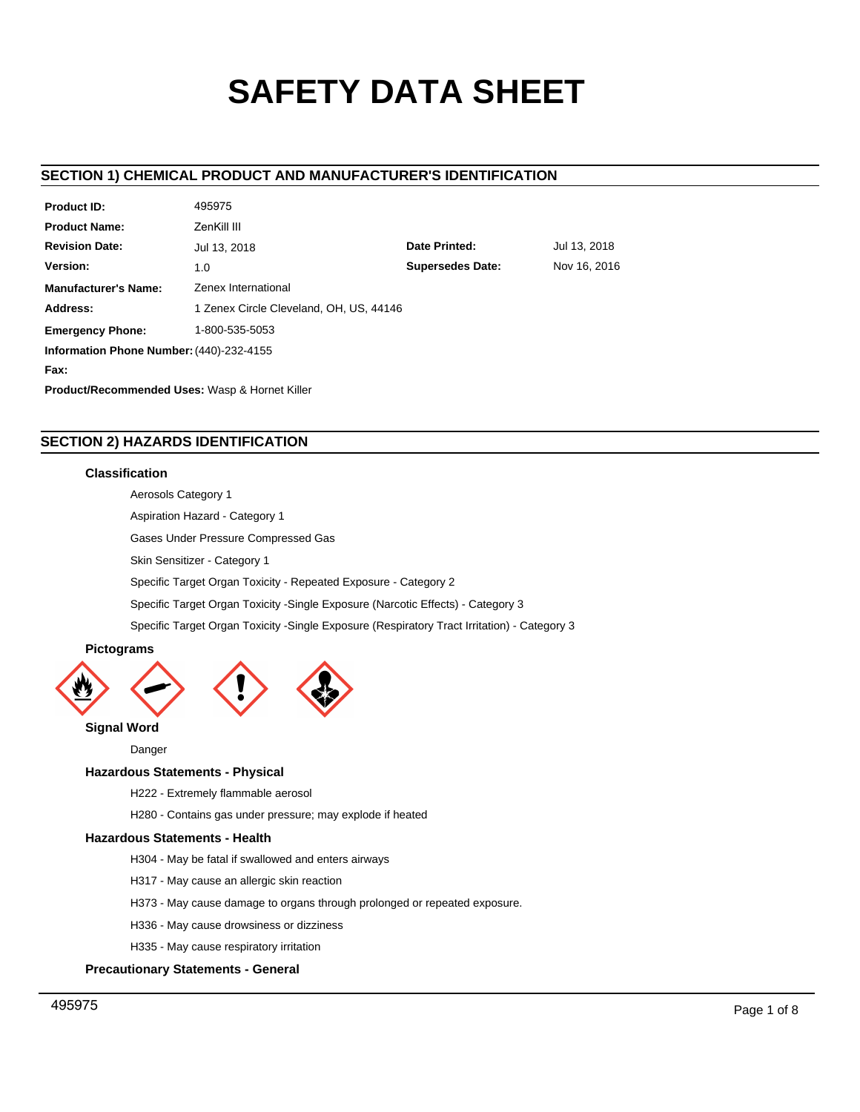# **SAFETY DATA SHEET**

# **SECTION 1) CHEMICAL PRODUCT AND MANUFACTURER'S IDENTIFICATION**

| <b>Product ID:</b>                                        | 495975                                  |                         |              |  |  |
|-----------------------------------------------------------|-----------------------------------------|-------------------------|--------------|--|--|
| <b>Product Name:</b>                                      | ZenKill III                             |                         |              |  |  |
| <b>Revision Date:</b>                                     | Jul 13, 2018                            | Date Printed:           | Jul 13, 2018 |  |  |
| Version:                                                  | 1.0                                     | <b>Supersedes Date:</b> | Nov 16, 2016 |  |  |
| <b>Manufacturer's Name:</b>                               | Zenex International                     |                         |              |  |  |
| Address:                                                  | 1 Zenex Circle Cleveland, OH, US, 44146 |                         |              |  |  |
| <b>Emergency Phone:</b>                                   | 1-800-535-5053                          |                         |              |  |  |
| Information Phone Number: (440)-232-4155                  |                                         |                         |              |  |  |
| Fax:                                                      |                                         |                         |              |  |  |
| <b>Product/Recommended Uses: Wasp &amp; Hornet Killer</b> |                                         |                         |              |  |  |

# **SECTION 2) HAZARDS IDENTIFICATION**

## **Classification**

Aerosols Category 1

Aspiration Hazard - Category 1

Gases Under Pressure Compressed Gas

Skin Sensitizer - Category 1

Specific Target Organ Toxicity - Repeated Exposure - Category 2

Specific Target Organ Toxicity -Single Exposure (Narcotic Effects) - Category 3

Specific Target Organ Toxicity -Single Exposure (Respiratory Tract Irritation) - Category 3

# **Pictograms**



**Signal Word**

Danger

## **Hazardous Statements - Physical**

H222 - Extremely flammable aerosol

H280 - Contains gas under pressure; may explode if heated

#### **Hazardous Statements - Health**

H304 - May be fatal if swallowed and enters airways

- H317 May cause an allergic skin reaction
- H373 May cause damage to organs through prolonged or repeated exposure.
- H336 May cause drowsiness or dizziness
- H335 May cause respiratory irritation

## **Precautionary Statements - General**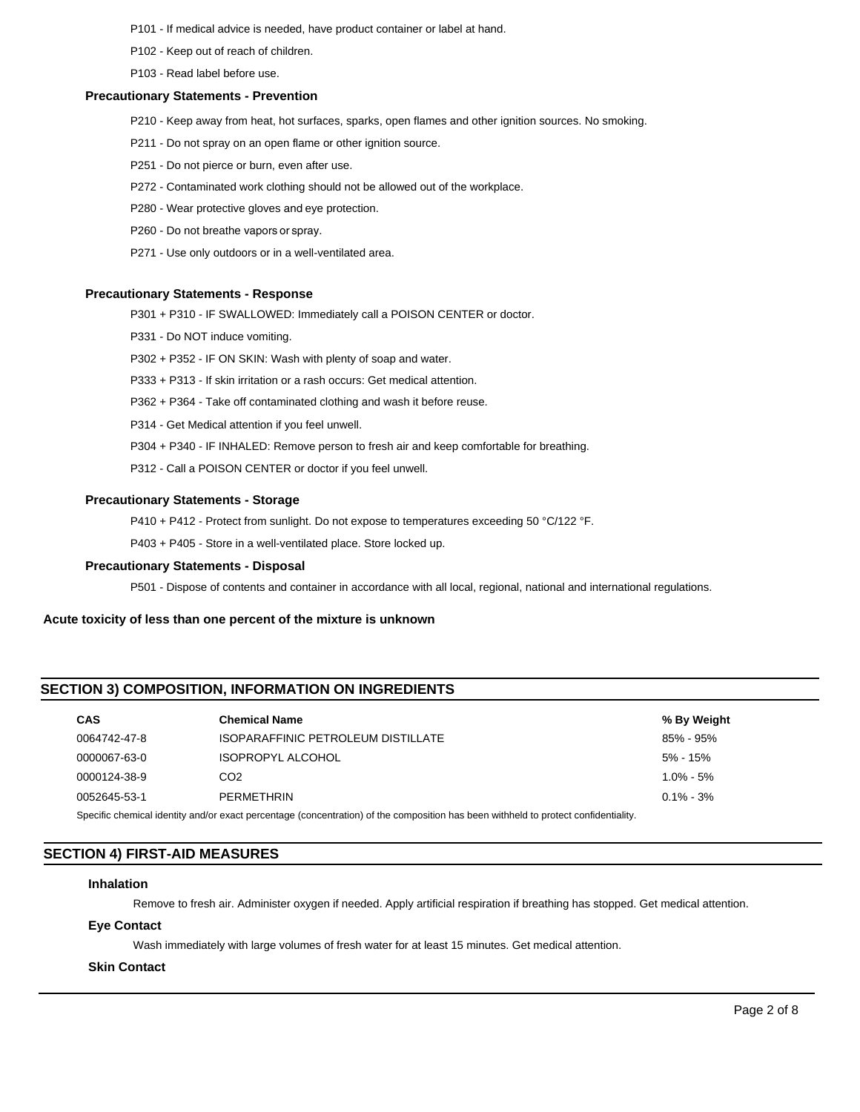- P101 If medical advice is needed, have product container or label at hand.
- P102 Keep out of reach of children.
- P103 Read label before use.

#### **Precautionary Statements - Prevention**

- P210 Keep away from heat, hot surfaces, sparks, open flames and other ignition sources. No smoking.
- P211 Do not spray on an open flame or other ignition source.
- P251 Do not pierce or burn, even after use.
- P272 Contaminated work clothing should not be allowed out of the workplace.
- P280 Wear protective gloves and eye protection.
- P260 Do not breathe vapors or spray.
- P271 Use only outdoors or in a well-ventilated area.

#### **Precautionary Statements - Response**

- P301 + P310 IF SWALLOWED: Immediately call a POISON CENTER or doctor.
- P331 Do NOT induce vomiting.
- P302 + P352 IF ON SKIN: Wash with plenty of soap and water.
- P333 + P313 If skin irritation or a rash occurs: Get medical attention.
- P362 + P364 Take off contaminated clothing and wash it before reuse.
- P314 Get Medical attention if you feel unwell.
- P304 + P340 IF INHALED: Remove person to fresh air and keep comfortable for breathing.
- P312 Call a POISON CENTER or doctor if you feel unwell.

#### **Precautionary Statements - Storage**

P410 + P412 - Protect from sunlight. Do not expose to temperatures exceeding 50 °C/122 °F.

P403 + P405 - Store in a well-ventilated place. Store locked up.

#### **Precautionary Statements - Disposal**

P501 - Dispose of contents and container in accordance with all local, regional, national and international regulations.

## **Acute toxicity of less than one percent of the mixture is unknown**

## **SECTION 3) COMPOSITION, INFORMATION ON INGREDIENTS**

| <b>CAS</b>                                                                                                         | <b>Chemical Name</b>               | % By Weight   |  |  |
|--------------------------------------------------------------------------------------------------------------------|------------------------------------|---------------|--|--|
| 0064742-47-8                                                                                                       | ISOPARAFFINIC PETROLEUM DISTILLATE | 85% - 95%     |  |  |
| 0000067-63-0                                                                                                       | <b>ISOPROPYL ALCOHOL</b>           | $5\%$ - 15%   |  |  |
| 0000124-38-9                                                                                                       | CO <sub>2</sub>                    | $1.0\% - 5\%$ |  |  |
| 0052645-53-1                                                                                                       | PERMETHRIN                         | $0.1\% - 3\%$ |  |  |
| Consider the probability and a superior perception of the composition has been withhold to protect confidentiality |                                    |               |  |  |

Specific chemical identity and/or exact percentage (concentration) of the composition has been withheld to protect confidentiality.

# **SECTION 4) FIRST-AID MEASURES**

#### **Inhalation**

Remove to fresh air. Administer oxygen if needed. Apply artificial respiration if breathing has stopped. Get medical attention.

## **Eye Contact**

Wash immediately with large volumes of fresh water for at least 15 minutes. Get medical attention.

## **Skin Contact**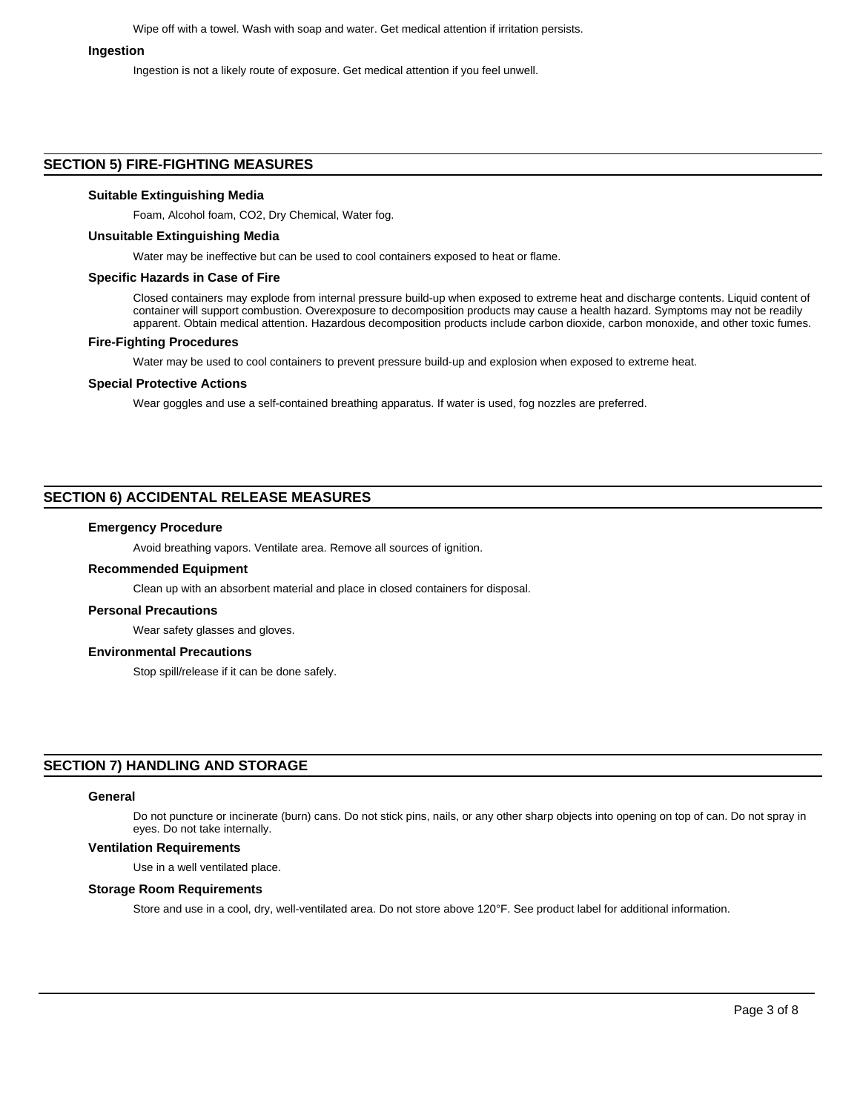Wipe off with a towel. Wash with soap and water. Get medical attention if irritation persists.

#### **Ingestion**

Ingestion is not a likely route of exposure. Get medical attention if you feel unwell.

#### **SECTION 5) FIRE-FIGHTING MEASURES**

#### **Suitable Extinguishing Media**

Foam, Alcohol foam, CO2, Dry Chemical, Water fog.

#### **Unsuitable Extinguishing Media**

Water may be ineffective but can be used to cool containers exposed to heat or flame.

#### **Specific Hazards in Case of Fire**

Closed containers may explode from internal pressure build-up when exposed to extreme heat and discharge contents. Liquid content of container will support combustion. Overexposure to decomposition products may cause a health hazard. Symptoms may not be readily apparent. Obtain medical attention. Hazardous decomposition products include carbon dioxide, carbon monoxide, and other toxic fumes.

## **Fire-Fighting Procedures**

Water may be used to cool containers to prevent pressure build-up and explosion when exposed to extreme heat.

#### **Special Protective Actions**

Wear goggles and use a self-contained breathing apparatus. If water is used, fog nozzles are preferred.

## **SECTION 6) ACCIDENTAL RELEASE MEASURES**

#### **Emergency Procedure**

Avoid breathing vapors. Ventilate area. Remove all sources of ignition.

#### **Recommended Equipment**

Clean up with an absorbent material and place in closed containers for disposal.

#### **Personal Precautions**

Wear safety glasses and gloves.

#### **Environmental Precautions**

Stop spill/release if it can be done safely.

# **SECTION 7) HANDLING AND STORAGE**

#### **General**

Do not puncture or incinerate (burn) cans. Do not stick pins, nails, or any other sharp objects into opening on top of can. Do not spray in eyes. Do not take internally.

## **Ventilation Requirements**

Use in a well ventilated place.

#### **Storage Room Requirements**

Store and use in a cool, dry, well-ventilated area. Do not store above 120°F. See product label for additional information.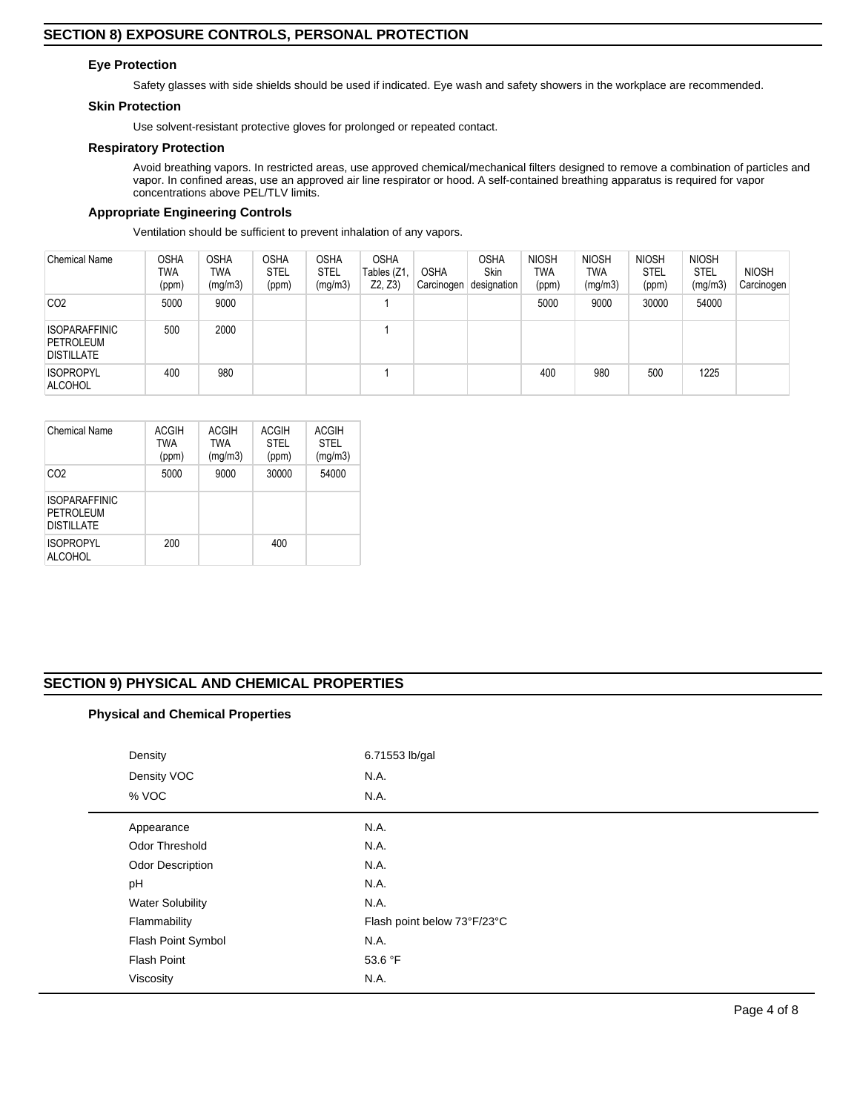## **Eye Protection**

Safety glasses with side shields should be used if indicated. Eye wash and safety showers in the workplace are recommended.

## **Skin Protection**

Use solvent-resistant protective gloves for prolonged or repeated contact.

## **Respiratory Protection**

Avoid breathing vapors. In restricted areas, use approved chemical/mechanical filters designed to remove a combination of particles and vapor. In confined areas, use an approved air line respirator or hood. A self-contained breathing apparatus is required for vapor concentrations above PEL/TLV limits.

## **Appropriate Engineering Controls**

Ventilation should be sufficient to prevent inhalation of any vapors.

| Chemical Name                                                 | <b>OSHA</b><br>TWA<br>(ppm) | <b>OSHA</b><br>TWA<br>(mg/m3) | <b>OSHA</b><br><b>STEL</b><br>(ppm) | <b>OSHA</b><br><b>STEL</b><br>(mg/m3) | <b>OSHA</b><br>Tables (Z1<br>Z2, Z3 | <b>OSHA</b><br>Carcinogen | <b>OSHA</b><br>Skin<br>designation | <b>NIOSH</b><br>TWA<br>(ppm) | <b>NIOSH</b><br>TWA<br>(mg/m3) | <b>NIOSH</b><br><b>STEL</b><br>(ppm) | <b>NIOSH</b><br><b>STEL</b><br>(mg/m3) | <b>NIOSH</b><br>Carcinogen |
|---------------------------------------------------------------|-----------------------------|-------------------------------|-------------------------------------|---------------------------------------|-------------------------------------|---------------------------|------------------------------------|------------------------------|--------------------------------|--------------------------------------|----------------------------------------|----------------------------|
| CO <sub>2</sub>                                               | 5000                        | 9000                          |                                     |                                       |                                     |                           |                                    | 5000                         | 9000                           | 30000                                | 54000                                  |                            |
| <b>ISOPARAFFINIC</b><br><b>PETROLEUM</b><br><b>DISTILLATE</b> | 500                         | 2000                          |                                     |                                       |                                     |                           |                                    |                              |                                |                                      |                                        |                            |
| <b>ISOPROPYL</b><br><b>ALCOHOL</b>                            | 400                         | 980                           |                                     |                                       |                                     |                           |                                    | 400                          | 980                            | 500                                  | 1225                                   |                            |

| <b>Chemical Name</b>                                   | ACGIH<br><b>TWA</b><br>(ppm) | ACGIH<br>TWA<br>(mg/m3) | ACGIH<br><b>STEL</b><br>(ppm) | <b>ACGIH</b><br><b>STEL</b><br>(mg/m3) |
|--------------------------------------------------------|------------------------------|-------------------------|-------------------------------|----------------------------------------|
| CO <sub>2</sub>                                        | 5000                         | 9000                    | 30000                         | 54000                                  |
| <b>ISOPARAFFINIC</b><br>PETROLEUM<br><b>DISTILLATE</b> |                              |                         |                               |                                        |
| <b>ISOPROPYL</b><br><b>ALCOHOL</b>                     | 200                          |                         | 400                           |                                        |

# **SECTION 9) PHYSICAL AND CHEMICAL PROPERTIES**

# **Physical and Chemical Properties**

| Density<br>Density VOC<br>% VOC | 6.71553 lb/gal<br>N.A.<br>N.A. |
|---------------------------------|--------------------------------|
| Appearance                      | N.A.                           |
| <b>Odor Threshold</b>           | N.A.                           |
| Odor Description                | N.A.                           |
| pH                              | N.A.                           |
| <b>Water Solubility</b>         | N.A.                           |
| Flammability                    | Flash point below 73°F/23°C    |
| Flash Point Symbol              | N.A.                           |
| <b>Flash Point</b>              | 53.6 °F                        |
| Viscosity                       | N.A.                           |
|                                 |                                |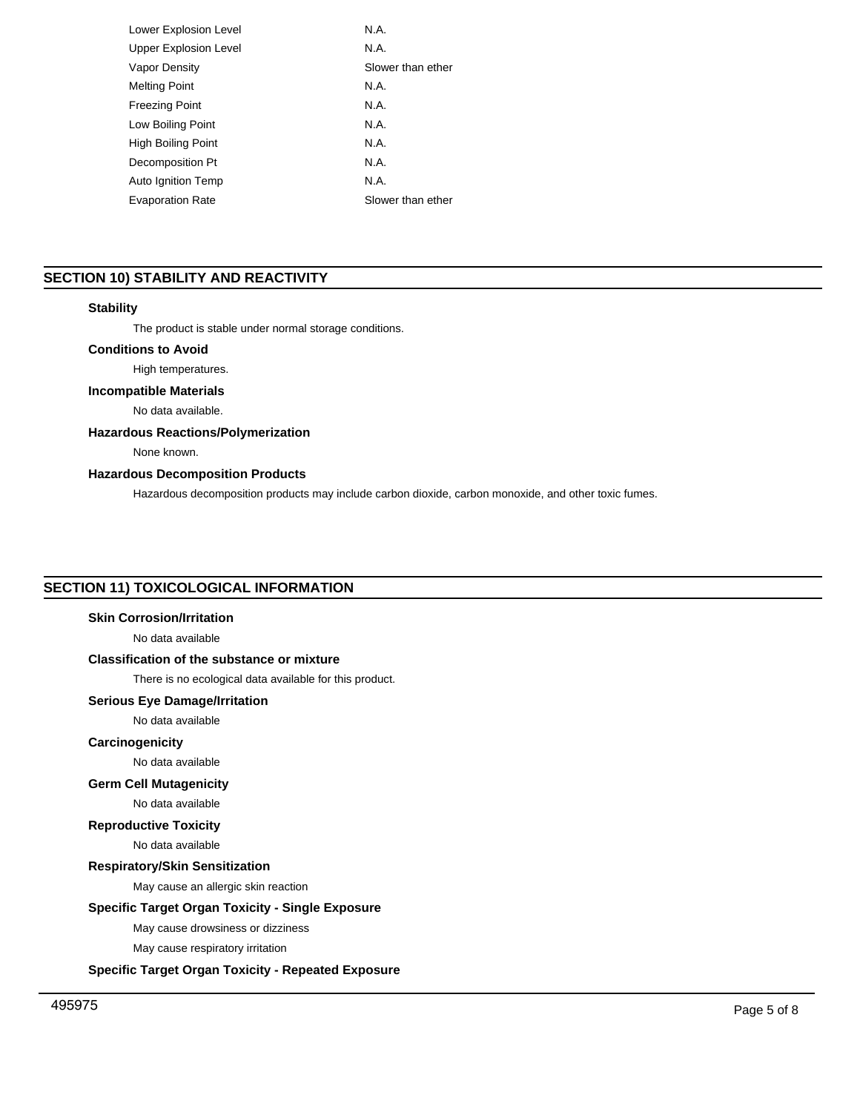| Lower Explosion Level        | N.A.              |
|------------------------------|-------------------|
| <b>Upper Explosion Level</b> | N.A.              |
| Vapor Density                | Slower than ether |
| <b>Melting Point</b>         | N.A.              |
| <b>Freezing Point</b>        | N.A.              |
| Low Boiling Point            | N.A.              |
| High Boiling Point           | N.A               |
| Decomposition Pt             | N.A.              |
| Auto Ignition Temp           | N.A.              |
| <b>Evaporation Rate</b>      | Slower than ether |
|                              |                   |

# **SECTION 10) STABILITY AND REACTIVITY**

## **Stability**

The product is stable under normal storage conditions.

## **Conditions to Avoid**

High temperatures.

## **Incompatible Materials**

No data available.

## **Hazardous Reactions/Polymerization**

None known.

## **Hazardous Decomposition Products**

Hazardous decomposition products may include carbon dioxide, carbon monoxide, and other toxic fumes.

# **SECTION 11) TOXICOLOGICAL INFORMATION**

## **Skin Corrosion/Irritation**

No data available

# **Classification of the substance or mixture**

There is no ecological data available for this product.

## **Serious Eye Damage/Irritation**

No data available

## **Carcinogenicity**

No data available

## **Germ Cell Mutagenicity**

## No data available

**Reproductive Toxicity**

No data available

## **Respiratory/Skin Sensitization**

May cause an allergic skin reaction

#### **Specific Target Organ Toxicity - Single Exposure**

May cause drowsiness or dizziness

May cause respiratory irritation

## **Specific Target Organ Toxicity - Repeated Exposure**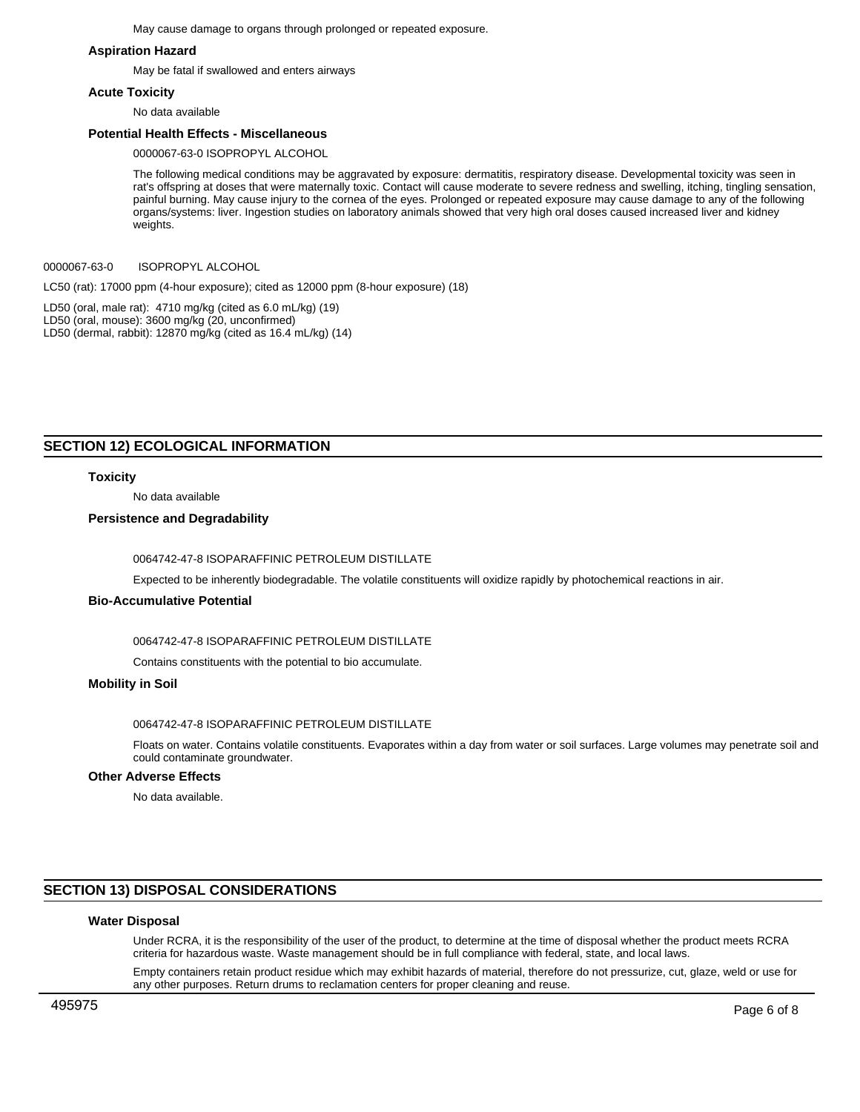May cause damage to organs through prolonged or repeated exposure.

#### **Aspiration Hazard**

May be fatal if swallowed and enters airways

#### **Acute Toxicity**

No data available

#### **Potential Health Effects - Miscellaneous**

0000067-63-0 ISOPROPYL ALCOHOL

The following medical conditions may be aggravated by exposure: dermatitis, respiratory disease. Developmental toxicity was seen in rat's offspring at doses that were maternally toxic. Contact will cause moderate to severe redness and swelling, itching, tingling sensation, painful burning. May cause injury to the cornea of the eyes. Prolonged or repeated exposure may cause damage to any of the following organs/systems: liver. Ingestion studies on laboratory animals showed that very high oral doses caused increased liver and kidney weights.

0000067-63-0 ISOPROPYL ALCOHOL

LC50 (rat): 17000 ppm (4-hour exposure); cited as 12000 ppm (8-hour exposure) (18)

LD50 (oral, male rat): 4710 mg/kg (cited as 6.0 mL/kg) (19) LD50 (oral, mouse): 3600 mg/kg (20, unconfirmed) LD50 (dermal, rabbit): 12870 mg/kg (cited as 16.4 mL/kg) (14)

## **SECTION 12) ECOLOGICAL INFORMATION**

#### **Toxicity**

No data available

#### **Persistence and Degradability**

0064742-47-8 ISOPARAFFINIC PETROLEUM DISTILLATE

Expected to be inherently biodegradable. The volatile constituents will oxidize rapidly by photochemical reactions in air.

#### **Bio-Accumulative Potential**

0064742-47-8 ISOPARAFFINIC PETROLEUM DISTILLATE

Contains constituents with the potential to bio accumulate.

#### **Mobility in Soil**

0064742-47-8 ISOPARAFFINIC PETROLEUM DISTILLATE

Floats on water. Contains volatile constituents. Evaporates within a day from water or soil surfaces. Large volumes may penetrate soil and could contaminate groundwater.

#### **Other Adverse Effects**

No data available.

# **SECTION 13) DISPOSAL CONSIDERATIONS**

#### **Water Disposal**

Under RCRA, it is the responsibility of the user of the product, to determine at the time of disposal whether the product meets RCRA criteria for hazardous waste. Waste management should be in full compliance with federal, state, and local laws.

Empty containers retain product residue which may exhibit hazards of material, therefore do not pressurize, cut, glaze, weld or use for any other purposes. Return drums to reclamation centers for proper cleaning and reuse.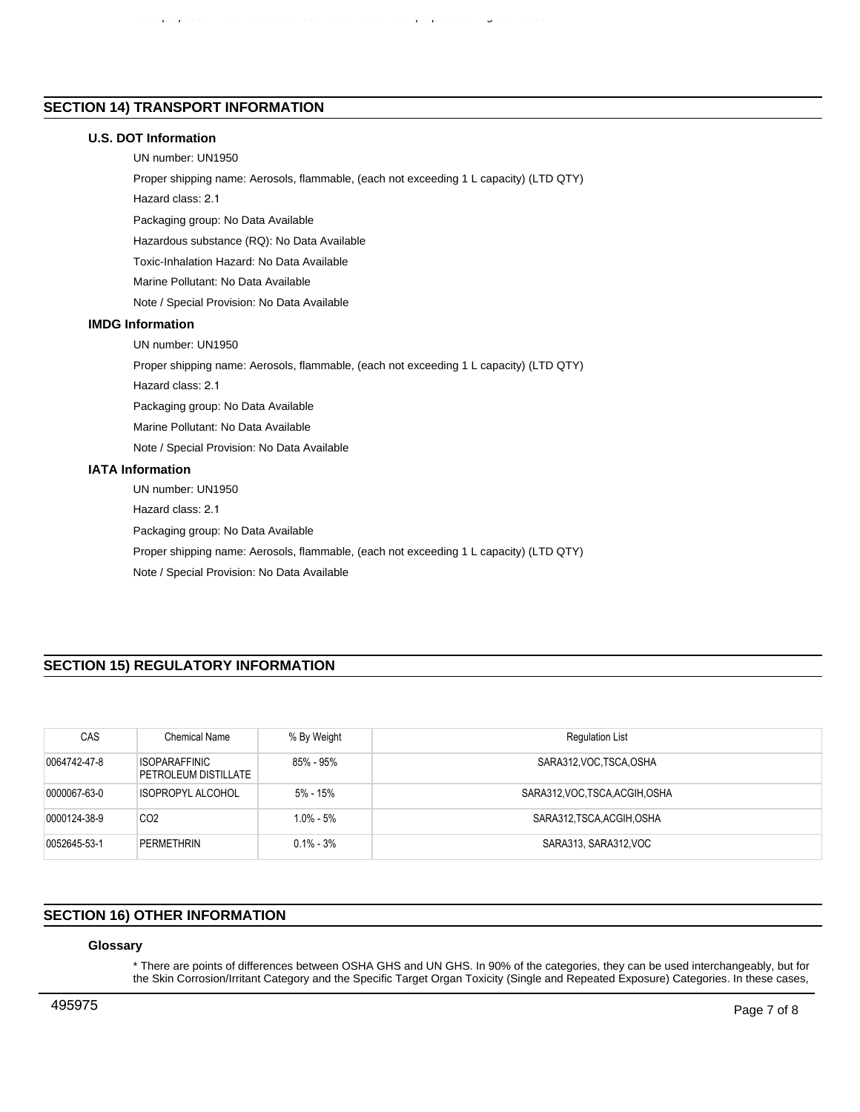# **SECTION 14) TRANSPORT INFORMATION**

## **U.S. DOT Information**

UN number: UN1950

Proper shipping name: Aerosols, flammable, (each not exceeding 1 L capacity) (LTD QTY)

other purposes. Return drums to reclamation centers for proper cleaning and reuse.

Hazard class: 2.1

Packaging group: No Data Available

Hazardous substance (RQ): No Data Available

Toxic-Inhalation Hazard: No Data Available

Marine Pollutant: No Data Available

Note / Special Provision: No Data Available

## **IMDG Information**

UN number: UN1950

Proper shipping name: Aerosols, flammable, (each not exceeding 1 L capacity) (LTD QTY)

Hazard class: 2.1

Packaging group: No Data Available

Marine Pollutant: No Data Available

Note / Special Provision: No Data Available

## **IATA Information**

UN number: UN1950

Hazard class: 2.1

Packaging group: No Data Available

Proper shipping name: Aerosols, flammable, (each not exceeding 1 L capacity) (LTD QTY)

Note / Special Provision: No Data Available

# **SECTION 15) REGULATORY INFORMATION**

| CAS          | Chemical Name                                | % By Weight   | <b>Regulation List</b>          |
|--------------|----------------------------------------------|---------------|---------------------------------|
| 0064742-47-8 | <b>ISOPARAFFINIC</b><br>PETROLEUM DISTILLATE | 85% - 95%     | SARA312, VOC. TSCA, OSHA        |
| 0000067-63-0 | <b>ISOPROPYL ALCOHOL</b>                     | $5% - 15%$    | SARA312, VOC, TSCA, ACGIH, OSHA |
| 0000124-38-9 | CO <sub>2</sub>                              | 1.0% - 5%     | SARA312, TSCA, ACGIH, OSHA      |
| 0052645-53-1 | PERMETHRIN                                   | $0.1\% - 3\%$ | SARA313, SARA312, VOC           |

## **SECTION 16) OTHER INFORMATION**

## **Glossary**

\* There are points of differences between OSHA GHS and UN GHS. In 90% of the categories, they can be used interchangeably, but for the Skin Corrosion/Irritant Category and the Specific Target Organ Toxicity (Single and Repeated Exposure) Categories. In these cases,